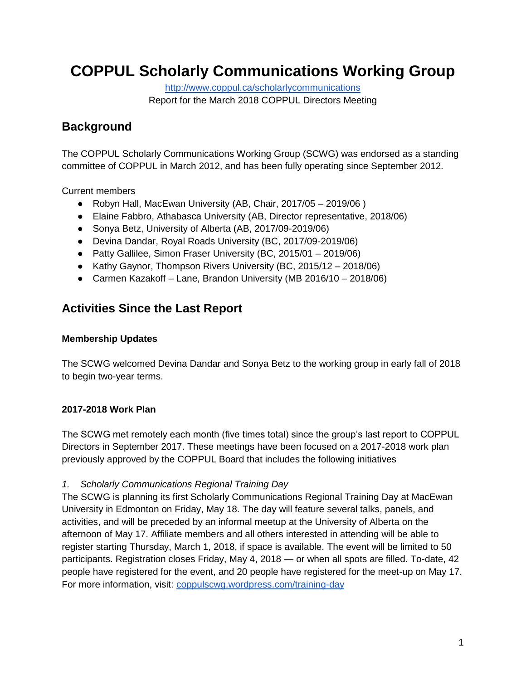# **COPPUL Scholarly Communications Working Group**

<http://www.coppul.ca/scholarlycommunications>

Report for the March 2018 COPPUL Directors Meeting

### **Background**

The COPPUL Scholarly Communications Working Group (SCWG) was endorsed as a standing committee of COPPUL in March 2012, and has been fully operating since September 2012.

Current members

- Robyn Hall, MacEwan University (AB, Chair, 2017/05 2019/06 )
- Elaine Fabbro, Athabasca University (AB, Director representative, 2018/06)
- Sonya Betz, University of Alberta (AB, 2017/09-2019/06)
- Devina Dandar, Royal Roads University (BC, 2017/09-2019/06)
- Patty Gallilee, Simon Fraser University (BC, 2015/01 2019/06)
- Kathy Gaynor, Thompson Rivers University (BC, 2015/12 2018/06)
- Carmen Kazakoff Lane, Brandon University (MB 2016/10 2018/06)

## **Activities Since the Last Report**

### **Membership Updates**

The SCWG welcomed Devina Dandar and Sonya Betz to the working group in early fall of 2018 to begin two-year terms.

#### **2017-2018 Work Plan**

The SCWG met remotely each month (five times total) since the group's last report to COPPUL Directors in September 2017. These meetings have been focused on a 2017-2018 work plan previously approved by the COPPUL Board that includes the following initiatives

#### *1. Scholarly Communications Regional Training Day*

The SCWG is planning its first Scholarly Communications Regional Training Day at MacEwan University in Edmonton on Friday, May 18. The day will feature several talks, panels, and activities, and will be preceded by an informal meetup at the University of Alberta on the afternoon of May 17. Affiliate members and all others interested in attending will be able to register starting Thursday, March 1, 2018, if space is available. The event will be limited to 50 participants. Registration closes Friday, May 4, 2018 — or when all spots are filled. To-date, 42 people have registered for the event, and 20 people have registered for the meet-up on May 17. For more information, visit: [coppulscwg.wordpress.com/training-day](https://coppulscwg.wordpress.com/training-day)